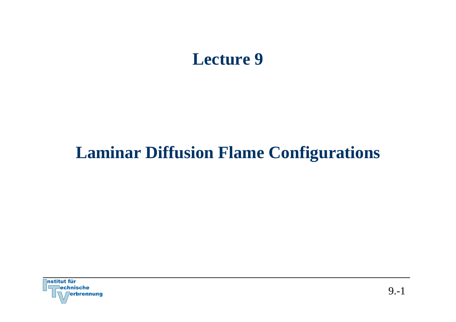# **Lecture 9**

# **Laminar Diffusion Flame Configurations**

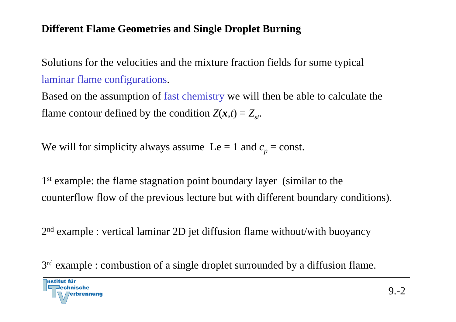### **Different Flame Geometries and Single Droplet Burning**

Solutions for the velocities and the mixture fraction fields for some typical laminar flame configurations.

Based on the assumption of fast chemistry we will then be able to calculate the flame contour defined by the condition  $Z(\mathbf{x}, t) = Z_{st}$ .

We will for simplicity always assume  $\text{Le} = 1$  and  $c_p = \text{const.}$ 

1<sup>st</sup> example: the flame stagnation point boundary layer (similar to the counterflow flow of the previous lecture but with different boundary conditions).

2n<sup>d</sup> example : vertical laminar 2D jet diffusion flame without/with buoyancy

3<sup>rd</sup> example : combustion of a single droplet surrounded by a diffusion flame.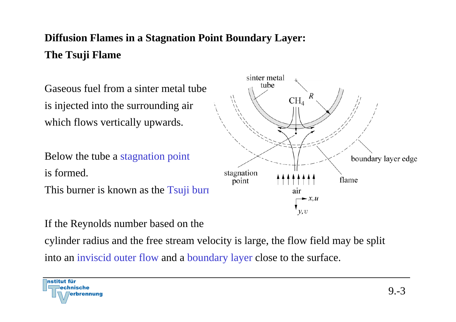## **Diffusion Flames in a Stagnation Point Boundary Layer: The Tsuji Flame**

Gaseous fuel from a sinter metal tube is injected into the surrounding air which flows vertically upwards.

Below the tube a stagnation point is formed. This burner is known as the Tsuji burn

If the Reynolds number based on the

cylinder radius and the free stream velocity is large, the flow field may be split

into an inviscid outer flow and a boundary layer close to the surface.



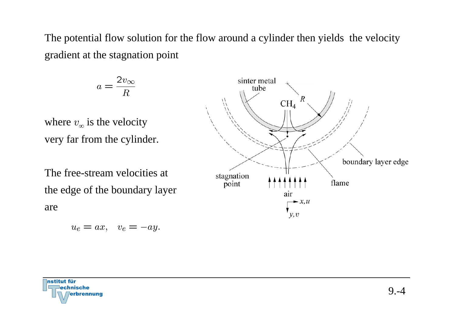The potential flow solution for the flow around a cylinder then yields the velocity gradient at the stagnation point

$$
a = \frac{2v_{\infty}}{R}
$$

where  $v_{\infty}$  is the velocity very far from the cylinder.

The free-stream velocities at the edge of the boundary layer are

$$
u_e = ax, \quad v_e = -ay.
$$



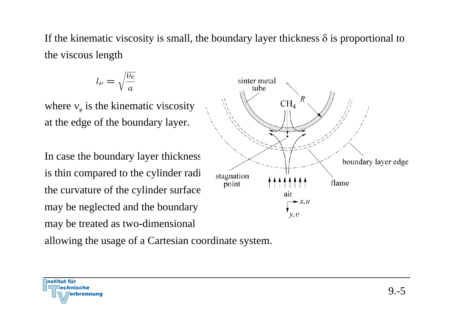If the kinematic viscosity is small, the boundary layer thickness  $\delta$  is proportional to the viscous length

$$
l_\nu = \sqrt{\frac{\nu_e}{a}}
$$

where  $v_e$  is the kinematic viscosity at the edge of the boundary layer.

In case the boundary layer thickness is thin compared to the cylinder radi the curvature of the cylinder surface may be neglected and the boundary may be treated as two-dimensional

allowing the usage of a Cartesian coordinate system.



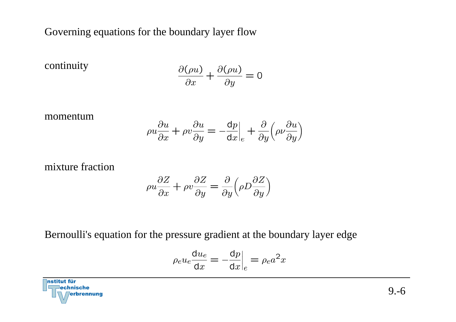Governing equations for the boundary layer flow

continuity

$$
\frac{\partial(\rho u)}{\partial x} + \frac{\partial(\rho u)}{\partial y} = 0
$$

momentum

$$
\rho u \frac{\partial u}{\partial x} + \rho v \frac{\partial u}{\partial y} = -\frac{\mathrm{d}p}{\mathrm{d}x}\Big|_{e} + \frac{\partial}{\partial y} \Big(\rho \nu \frac{\partial u}{\partial y}\Big)
$$

mixture fraction

$$
\rho u \frac{\partial Z}{\partial x} + \rho v \frac{\partial Z}{\partial y} = \frac{\partial}{\partial y} \left( \rho D \frac{\partial Z}{\partial y} \right)
$$

Bernoulli's equation for the pressure gradient at the boundary layer edge

$$
\rho_e u_e \frac{\mathrm{d}u_e}{\mathrm{d}x} = -\frac{\mathrm{d}p}{\mathrm{d}x}\Big|_e = \rho_e a^2 x
$$

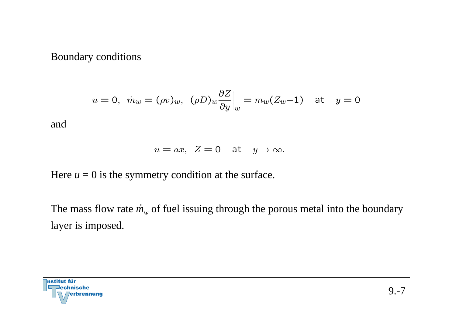#### Boundary conditions

$$
u = 0
$$
,  $\dot{m}_w = (\rho v)_w$ ,  $(\rho D)_w \frac{\partial Z}{\partial y}\Big|_w = m_w (Z_w - 1)$  at  $y = 0$ 

and

$$
u = ax, \ Z = 0 \quad \text{at} \quad y \to \infty.
$$

Here  $u = 0$  is the symmetry condition at the surface.

The mass flow rate  $\dot{m}_w$  of fuel issuing through the porous metal into the boundary layer is imposed.

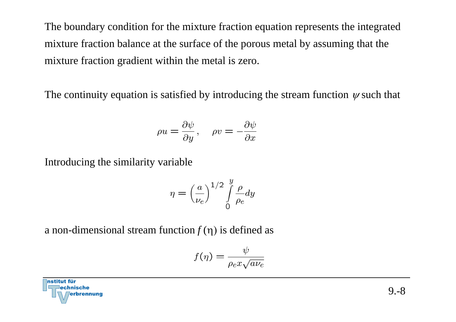The boundary condition for the mixture fraction equation represents the integrated mixture fraction balance at the surface of the porous metal by assuming that the mixture fraction gradient within the metal is zero.

The continuity equation is satisfied by introducing the stream function  $\psi$  such that

$$
\rho u = \frac{\partial \psi}{\partial y}, \quad \rho v = -\frac{\partial \psi}{\partial x}
$$

Introducing the similarity variable

$$
\eta = \left(\frac{a}{\nu_e}\right)^{1/2} \int\limits_0^y \frac{\rho}{\rho_e} dy
$$

a non-dimensional stream function  $f(\eta)$  is defined as

$$
f(\eta) = \frac{\psi}{\rho_e x \sqrt{a \nu_e}}
$$

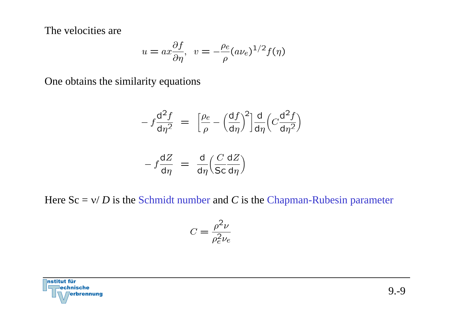The velocities are

$$
u = ax\frac{\partial f}{\partial \eta}, \ v = -\frac{\rho_e}{\rho}(a\nu_e)^{1/2}f(\eta)
$$

One obtains the similarity equations

$$
-f\frac{d^{2}f}{d\eta^{2}} = \left[\frac{\rho_{e}}{\rho} - \left(\frac{df}{d\eta}\right)^{2}\right]\frac{d}{d\eta}\left(C\frac{d^{2}f}{d\eta^{2}}\right)
$$

$$
- f \frac{dZ}{d\eta} = \frac{d}{d\eta} \left( \frac{C}{\mathsf{Sc}} \frac{dZ}{d\eta} \right)
$$

Here Sc = ν/ *D* is the Schmidt number and *C* is the Chapman-Rubesin parameter

$$
C=\frac{\rho^2\nu}{\rho_e^2\nu_e}
$$

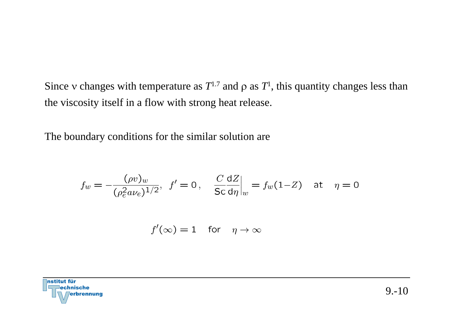Since v changes with temperature as  $T^{1.7}$  and  $\rho$  as  $T^1$ , this quantity changes less than the viscosity itself in a flow with strong heat release.

The boundary conditions for the similar solution are

$$
f_w = -\frac{(\rho v)_w}{(\rho_e^2 a \nu_e)^{1/2}}, \ \ f' = 0 \, , \quad \frac{C}{\text{Sc}} \frac{\text{d}Z}{\text{d}\eta} \bigg|_w = f_w(1 - Z) \quad \text{at} \quad \eta = 0
$$

$$
f'(\infty) = 1 \quad \text{for} \quad \eta \to \infty
$$

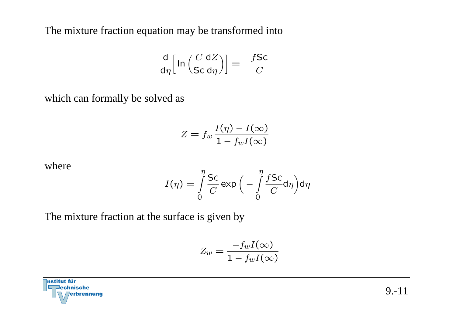The mixture fraction equation may be transformed into

$$
\frac{\mathrm{d}}{\mathrm{d}\eta} \Big[ \ln \Big( \frac{C}{\mathrm{Sc}} \frac{\mathrm{d}Z}{\mathrm{d}\eta} \Big) \Big] = -\frac{f \mathrm{Sc}}{C}
$$

which can formally be solved as

$$
Z = f_w \frac{I(\eta) - I(\infty)}{1 - f_w I(\infty)}
$$

where

$$
I(\eta) = \int_{0}^{\eta} \frac{Sc}{C} \exp\left(-\int_{0}^{\eta} \frac{fSc}{C} d\eta\right) d\eta
$$

The mixture fraction at the surface is given by

$$
Z_w = \frac{-f_w I(\infty)}{1 - f_w I(\infty)}
$$

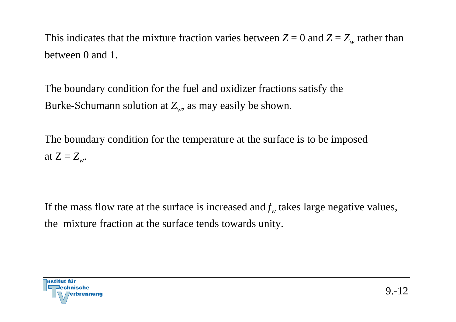This indicates that the mixture fraction varies between  $Z = 0$  and  $Z = Z_w$  rather than between 0 and 1.

The boundary condition for the fuel and oxidizer fractions satisfy the Burke-Schumann solution at  $Z_w$ , as may easily be shown.

The boundary condition for the temperature at the surface is to be imposed at  $Z = Z_w$ .

If the mass flow rate at the surface is increased and  $f_w$  takes large negative values, the mixture fraction at the surface tends towards unity.

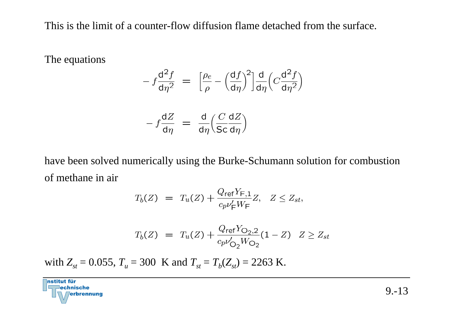This is the limit of a counter-flow diffusion flame detached from the surface.

The equations

$$
- f \frac{d^2 f}{d \eta^2} = \left[ \frac{\rho_e}{\rho} - \left( \frac{df}{d \eta} \right)^2 \right] \frac{d}{d \eta} \left( C \frac{d^2 f}{d \eta^2} \right)
$$

$$
- f \frac{dZ}{d\eta} = \frac{d}{d\eta} \left( \frac{C}{\text{Sc}} \frac{dZ}{d\eta} \right)
$$

have been solved numerically using the Burke-Schumann solution for combustion of methane in air

$$
T_b(Z) = T_u(Z) + \frac{Q_{\text{ref}} Y_{\text{F},1}}{c_p \nu_{\text{F}}' W_{\text{F}}} Z, \quad Z \le Z_{st},
$$

$$
T_b(Z) = T_u(Z) + \frac{Q_{\text{ref}} Y_{\text{O}_2,2}}{c_p v'_{\text{O}_2} W_{\text{O}_2}} (1 - Z) \quad Z \ge Z_{st}
$$

with  $Z_{st} = 0.055$ ,  $T_u = 300$  K and  $T_{st} = T_b(Z_{st}) = 2263$  K.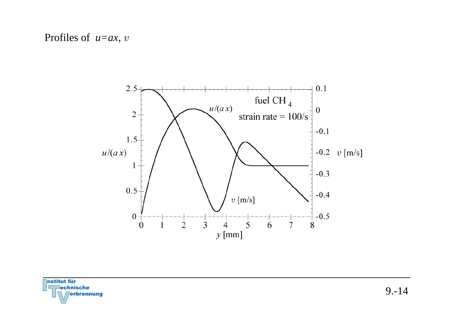Profiles of *u=ax, v* 



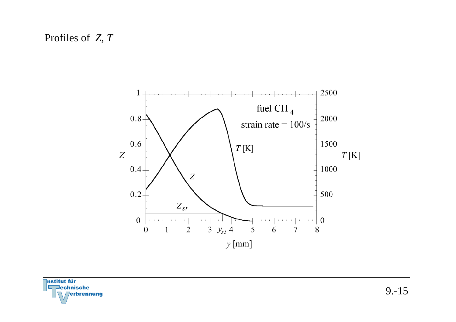Profiles of *Z*, *T*



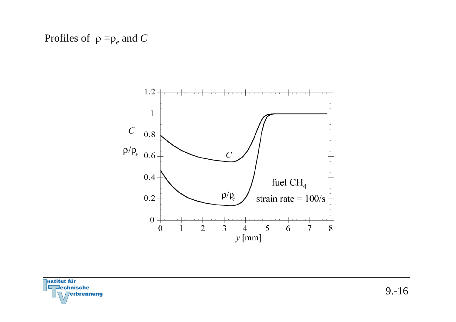

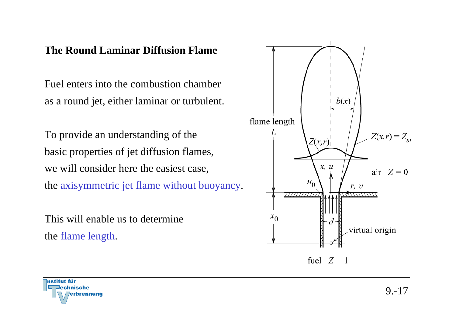#### **The Round Laminar Diffusion Flame**

Fuel enters into the combustion chamber as a round jet, either laminar or turbulent.

To provide an understanding of the basic properties of jet diffusion flames, we will consider here the easiest case, the axisymmetric jet flame without buoyancy.

This will enable us to determine the flame length.



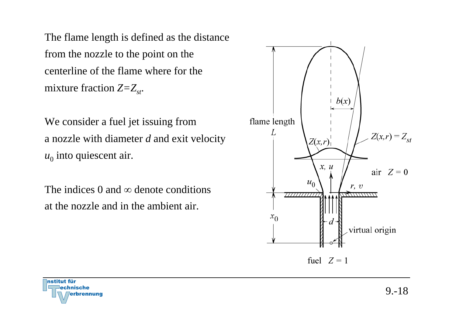The flame length is defined as the distance from the nozzle to the point on the centerline of the flame where for the mixture fraction  $Z = Z_{st}$ .

We consider a fuel jet issuing from a nozzle with diameter *d* and exit velocity  $u_0$  into quiescent air.

The indices 0 and  $\infty$  denote conditions at the nozzle and in the ambient air.



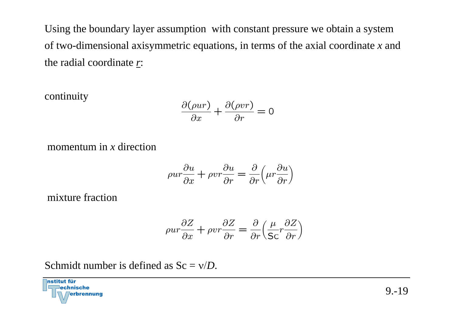Using the boundary layer assumption with constant pressure we obtain a system of two-dimensional axisymmetric equations, in terms of the axial coordinate *x* and the radial coordinate *r*:

continuity

$$
\frac{\partial(\rho ur)}{\partial x} + \frac{\partial(\rho vr)}{\partial r} = 0
$$

momentum in *x* direction

$$
\rho u r \frac{\partial u}{\partial x} + \rho v r \frac{\partial u}{\partial r} = \frac{\partial}{\partial r} \left( \mu r \frac{\partial u}{\partial r} \right)
$$

mixture fraction

$$
\rho u r \frac{\partial Z}{\partial x} + \rho v r \frac{\partial Z}{\partial r} = \frac{\partial}{\partial r} \left( \frac{\mu}{\mathsf{Sc}} r \frac{\partial Z}{\partial r} \right)
$$

Schmidt number is defined as Sc = ν/*D*.

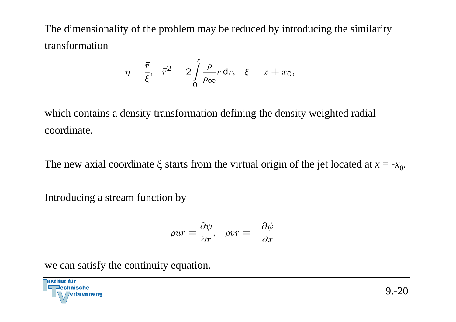The dimensionality of the problem may be reduced by introducing the similarity transformation

$$
\eta = \frac{\overline{r}}{\xi}, \quad \overline{r}^2 = 2 \int\limits_0^r \frac{\rho}{\rho_{\infty}} r \, dr, \quad \xi = x + x_0,
$$

which contains a density transformation defining the density weighted radial coordinate.

The new axial coordinate  $\xi$  starts from the virtual origin of the jet located at  $x = -x_0$ .

Introducing a stream function by

$$
\rho u r = \frac{\partial \psi}{\partial r}, \quad \rho v r = -\frac{\partial \psi}{\partial x}
$$

we can satisfy the continuity equation.

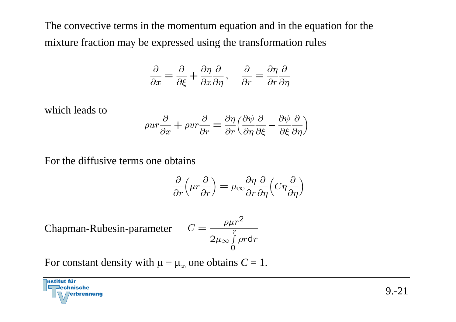The convective terms in the momentum equation and in the equation for the mixture fraction may be expressed using the transformation rules

$$
\frac{\partial}{\partial x} = \frac{\partial}{\partial \xi} + \frac{\partial \eta}{\partial x} \frac{\partial}{\partial \eta}, \quad \frac{\partial}{\partial r} = \frac{\partial \eta}{\partial r} \frac{\partial}{\partial \eta}
$$

which leads to

$$
\rho u r \frac{\partial}{\partial x} + \rho v r \frac{\partial}{\partial r} = \frac{\partial \eta}{\partial r} \left( \frac{\partial \psi}{\partial \eta} \frac{\partial}{\partial \xi} - \frac{\partial \psi}{\partial \xi} \frac{\partial}{\partial \eta} \right)
$$

For the diffusive terms one obtains

$$
\frac{\partial}{\partial r} \left( \mu r \frac{\partial}{\partial r} \right) = \mu_{\infty} \frac{\partial \eta}{\partial r} \frac{\partial}{\partial \eta} \left( C \eta \frac{\partial}{\partial \eta} \right)
$$

Chapman-Rubesin-parameter

$$
C = \frac{\rho \mu r^2}{2\mu_{\infty} \int\limits_{0}^{r} \rho r dr}
$$

For constant density with  $\mu = \mu_{\infty}$  one obtains  $C = 1$ .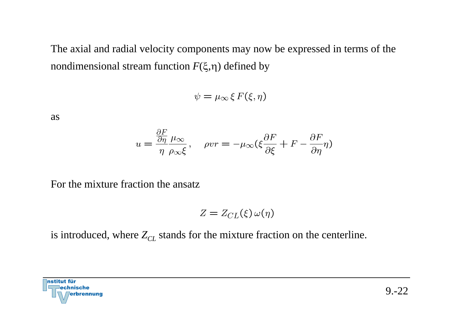The axial and radial velocity components may now be expressed in terms of the nondimensional stream function *F* ( ξ,η) defined by

 $\psi = \mu_{\infty} \xi F(\xi, \eta)$ 

as

$$
u = \frac{\frac{\partial F}{\partial \eta}}{\eta} \frac{\mu_{\infty}}{\rho_{\infty} \xi}, \quad \rho v r = -\mu_{\infty} (\xi \frac{\partial F}{\partial \xi} + F - \frac{\partial F}{\partial \eta} \eta)
$$

For the mixture fraction the ansatz

$$
Z = Z_{CL}(\xi) \,\omega(\eta)
$$

is introduced, where  $Z_{CL}$  stands for the mixture fraction on the centerline.

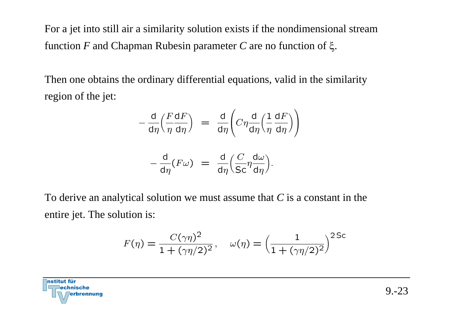For a jet into still air a similarity solution exists if the nondimensional stream function *F* and Chapman Rubesin parameter *C* are no function of ξ.

Then one obtains the ordinary differential equations, valid in the similarity region of the jet:

$$
-\frac{d}{d\eta} \left(\frac{F dF}{\eta d\eta}\right) = \frac{d}{d\eta} \left(C\eta \frac{d}{d\eta} \left(\frac{1}{\eta} \frac{dF}{d\eta}\right)\right)
$$

$$
-\frac{d}{d\eta}(F\omega) = \frac{d}{d\eta} \left(\frac{C}{Sc}\eta \frac{d\omega}{d\eta}\right).
$$

To derive an analytical solution we must assume that *C* is a constant in the entire jet. The solution is:

$$
F(\eta) = \frac{C(\gamma \eta)^2}{1 + (\gamma \eta/2)^2}, \quad \omega(\eta) = \left(\frac{1}{1 + (\gamma \eta/2)^2}\right)^{2 \text{Sc}}
$$

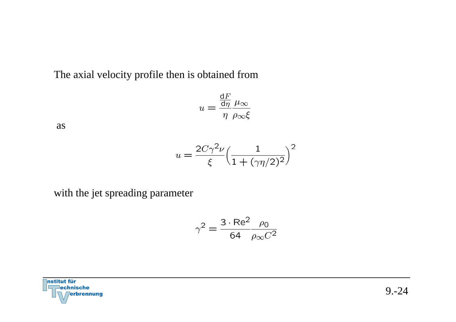The axial velocity profile then is obtained from

$$
u = \frac{\frac{\mathrm{d}F}{\mathrm{d}\eta}}{\eta} \frac{\mu_{\infty}}{\rho_{\infty} \xi}
$$

as

$$
u = \frac{2C\gamma^2 \nu}{\xi} \left(\frac{1}{1 + (\gamma \eta/2)^2}\right)^2
$$

with the jet spreading parameter

$$
\gamma^2 = \frac{3 \cdot \text{Re}^2}{64} \frac{\rho_0}{\rho_\infty C^2}
$$

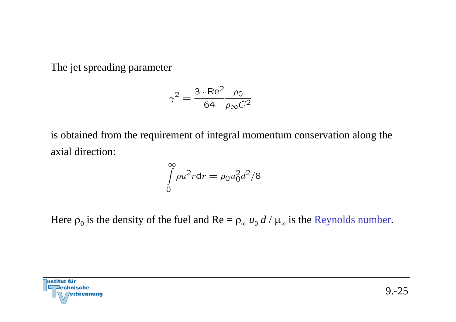The jet spreading parameter

$$
\gamma^2 = \frac{3 \cdot \text{Re}^2}{64} \frac{\rho_0}{\rho_\infty C^2}
$$

is obtained from the requirement of integral momentum conservation along the axial direction:

$$
\int_{0}^{\infty} \rho u^2 r dr = \rho_0 u_0^2 d^2 / 8
$$

Here  $\rho_0$  is the density of the fuel and  $\text{Re} = \rho_\infty u_0 d / \mu_\infty$  is the Reynolds number.

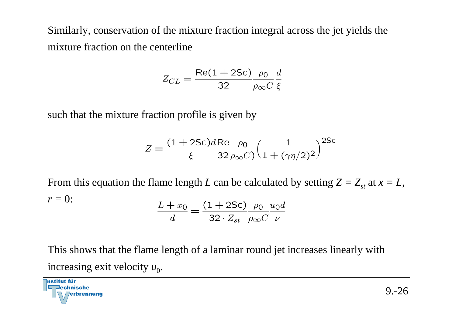Similarly, conservation of the mixture fraction integral across the jet yields the mixture fraction on the centerline

$$
Z_{CL} = \frac{\text{Re}(1 + 2\text{Sc})}{32} \frac{\rho_0}{\rho_\infty C} \frac{d}{\xi}
$$

such that the mixture fraction profile is given by

$$
Z = \frac{(1+2\text{Sc})d\text{Re}}{\xi} \frac{\rho_0}{32 \rho_{\infty} C} \left(\frac{1}{1+(\gamma\eta/2)^2}\right)^{2\text{Sc}}
$$

From this equation the flame length L can be calculated by setting  $Z = Z_{st}$  at  $x = L$ ,  $r = 0$ :  $\frac{L+x_0}{d} = \frac{(1+2\mathsf{Sc})\rho_0 u_0 d}{32 \cdot Z_{st} \rho_\infty C \nu}$ 

This shows that the flame length of a laminar round jet increases linearly with increasing exit velocity  $u_0$ .

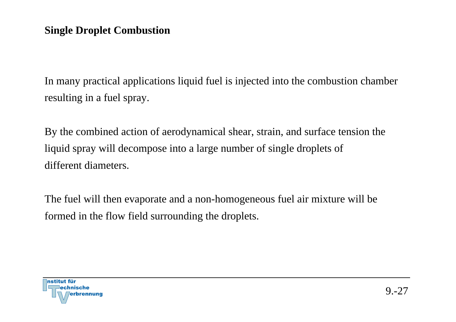### **Single Droplet Combustion**

In many practical applications liquid fuel is injected into the combustion chamber resulting in a fuel spray.

By the combined action of aerodynamical shear, strain, and surface tension the liquid spray will decompose into a large number of single droplets of different diameters.

The fuel will then evaporate and a non-homogeneous fuel air mixture will be formed in the flow field surrounding the droplets.

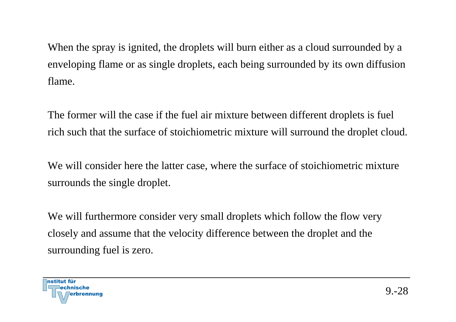When the spray is ignited, the droplets will burn either as a cloud surrounded by a enveloping flame or as single droplets, each being surrounded by its own diffusion flame.

The former will the case if the fuel air mixture between different droplets is fuel rich such that the surface of stoichiometric mixture will surround the droplet cloud.

We will consider here the latter case, where the surface of stoichiometric mixture surrounds the single droplet.

We will furthermore consider very small droplets which follow the flow very closely and assume that the velocity difference between the droplet and the surrounding fuel is zero.

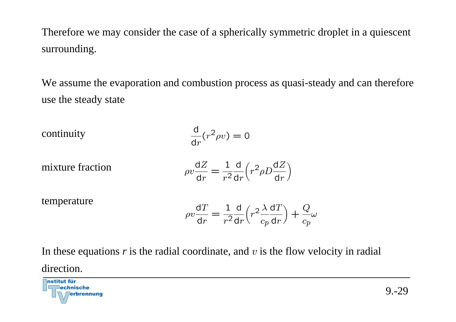Therefore we may consider the case of a spherically symmetric droplet in a quiescent surrounding.

We assume the evaporation and combustion process as quasi-steady and can therefore use the steady state

continuity

\n
$$
\frac{d}{dr}(r^2 \rho v) = 0
$$
\nmixture fraction

\n
$$
\rho v \frac{dZ}{dr} = \frac{1}{r^2} \frac{d}{dr} \left( r^2 \rho D \frac{dZ}{dr} \right)
$$
\ntemperature

\n
$$
\rho v \frac{dT}{dr} = \frac{1}{r^2} \frac{d}{dr} \left( r^2 \frac{\lambda}{c_p} \frac{dT}{dr} \right) + \frac{Q}{c_p} \omega
$$

In these equations 
$$
r
$$
 is the radial coordinate, and  $v$  is the flow velocity in radial direction.

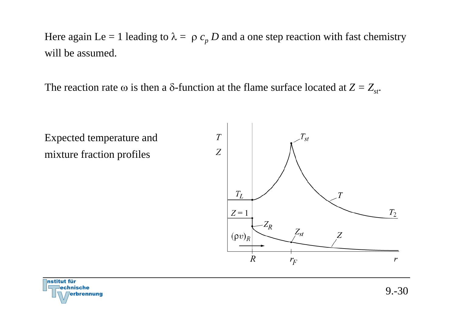Here again Le = 1 leading to  $\lambda = \rho c_p D$  and a one step reaction with fast chemistry will be assumed.

The reaction rate  $\omega$  is then a  $\delta$ -function at the flame surface located at  $Z = Z_{st}$ .

Expected temperature and mixture fraction profiles



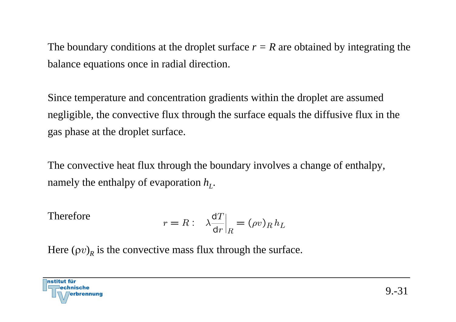The boundary conditions at the droplet surface  $r = R$  are obtained by integrating the balance equations once in radial direction.

Since temperature and concentration gradients within the droplet are assumed negligible, the convective flux through the surface equals the diffusive flux in the gas phase at the droplet surface.

The convective heat flux through the boundary involves a change of enthalpy, namely the enthalpy of evaporation  $h<sub>L</sub>$ .

Therefore 
$$
r = R: \lambda \frac{dT}{dr}|_R = (\rho v)_R h_L
$$

Here  $(\rho v)_R$  is the convective mass flux through the surface.

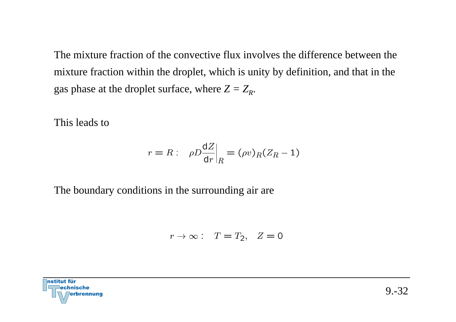The mixture fraction of the convective flux involves the difference between the mixture fraction within the droplet, which is unity by definition, and that in the gas phase at the droplet surface, where  $Z = Z_R$ .

This leads to

$$
r = R: \left. \rho D \frac{\mathrm{d}Z}{\mathrm{d}r} \right|_R = (\rho v)_R (Z_R - 1)
$$

The boundary conditions in the surrounding air are

$$
r \to \infty: \quad T = T_2, \quad Z = 0
$$

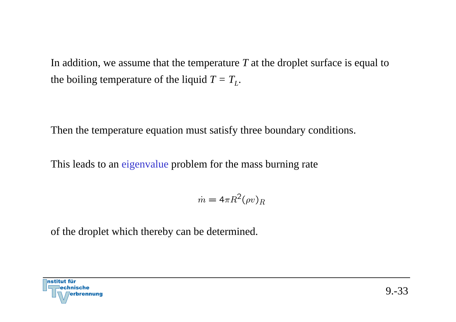In addition, we assume that the temperature *T* at the droplet surface is equal to the boiling temperature of the liquid  $T = T_L$ .

Then the temperature equation must satisfy three boundary conditions.

This leads to an eigenvalue problem for the mass burning rate

$$
\dot{m} = 4\pi R^2 (\rho v)_R
$$

of the droplet which thereby can be determined.

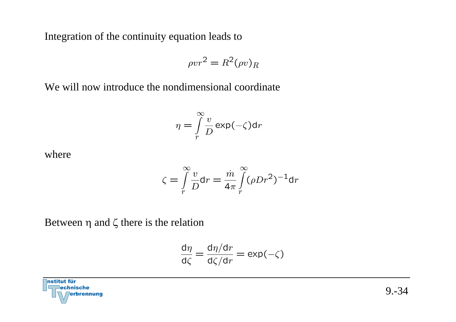Integration of the continuity equation leads to

$$
\rho v r^2 = R^2 (\rho v)_R
$$

We will now introduce the nondimensional coordinate

$$
\eta = \int\limits_r^\infty \frac{v}{D} \exp(-\zeta) \mathrm{d}r
$$

where

$$
\zeta = \int\limits_r^\infty \frac{v}{D} dr = \frac{\dot{m}}{4\pi} \int\limits_r^\infty (\rho D r^2)^{-1} dr
$$

Between η and ζ there is the relation

$$
\frac{d\eta}{d\zeta} = \frac{d\eta/dr}{d\zeta/dr} = \exp(-\zeta)
$$

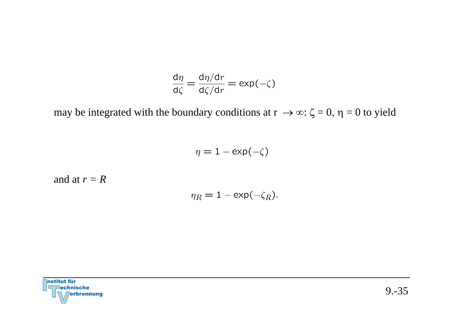$$
\frac{d\eta}{d\zeta} = \frac{d\eta/dr}{d\zeta/dr} = \exp(-\zeta)
$$

may be integrated with the boundary conditions at  $r \to \infty$ :  $\zeta = 0$ ,  $\eta = 0$  to yield

$$
\eta = 1 - \exp(-\zeta)
$$

and at *r = R*

$$
\eta_R = 1 - \exp(-\zeta_R).
$$

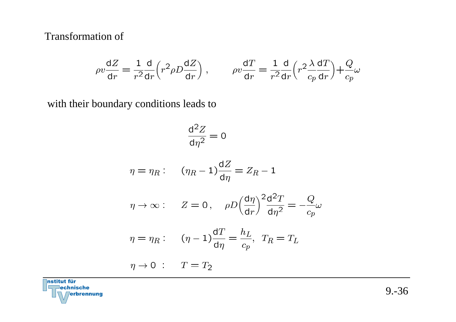Transformation of

$$
\rho v \frac{\mathrm{d}Z}{\mathrm{d}r} = \frac{1}{r^2} \frac{\mathrm{d}}{\mathrm{d}r} \Big( r^2 \rho D \frac{\mathrm{d}Z}{\mathrm{d}r} \Big) \;, \qquad \rho v \frac{\mathrm{d}T}{\mathrm{d}r} = \frac{1}{r^2} \frac{\mathrm{d}}{\mathrm{d}r} \Big( r^2 \frac{\lambda}{c_p} \frac{\mathrm{d}T}{\mathrm{d}r} \Big) + \frac{Q}{c_p} \omega
$$

with their boundary conditions leads to

$$
\frac{\mathrm{d}^2 Z}{\mathrm{d}\eta^2} = 0
$$

$$
\eta = \eta_R: \qquad (\eta_R - 1)\frac{dZ}{d\eta} = Z_R - 1
$$

$$
\eta \to \infty: \quad Z = 0 \,, \quad \rho D \Big(\frac{d\eta}{dr}\Big)^2 \frac{d^2 T}{d\eta^2} = -\frac{Q}{c_p} \omega
$$

$$
\eta = \eta_R: \qquad (\eta - 1)\frac{\mathrm{d}T}{\mathrm{d}\eta} = \frac{h_L}{c_p}, \ \ T_R = T_L
$$

$$
\eta \to 0 \; : \quad T = T_2
$$

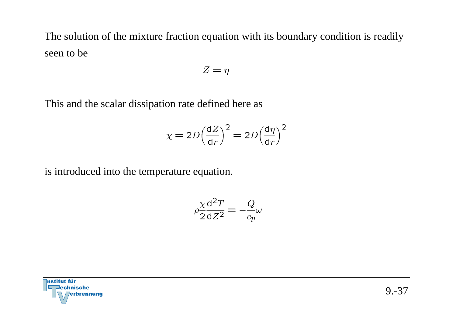The solution of the mixture fraction equation with its boundary condition is readily seen to be

$$
Z=\eta
$$

This and the scalar dissipation rate defined here as

$$
\chi = 2D \left(\frac{dZ}{dr}\right)^2 = 2D \left(\frac{d\eta}{dr}\right)^2
$$

is introduced into the temperature equation.

$$
\rho \frac{\chi}{2} \frac{\mathrm{d}^2 T}{\mathrm{d} Z^2} = -\frac{Q}{c_p} \omega
$$

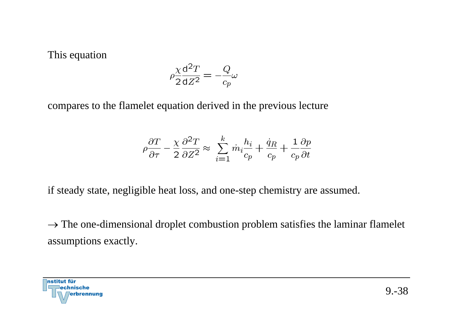This equation

$$
\rho \frac{\chi}{2} \frac{\mathrm{d}^2 T}{\mathrm{d} Z^2} = -\frac{Q}{c_p} \omega
$$

compares to the flamelet equation derived in the previous lecture

$$
\rho \frac{\partial T}{\partial \tau} - \frac{\chi}{2} \frac{\partial^2 T}{\partial Z^2} \approx \sum_{i=1}^k \dot{m}_i \frac{h_i}{c_p} + \frac{\dot{q}_R}{c_p} + \frac{1}{c_p} \frac{\partial p}{\partial t}
$$

if steady state, negligible heat loss, and one-step chemistry are assumed.

 $\rightarrow$  The one-dimensional droplet combustion problem satisfies the laminar flamelet assumptions exactly.

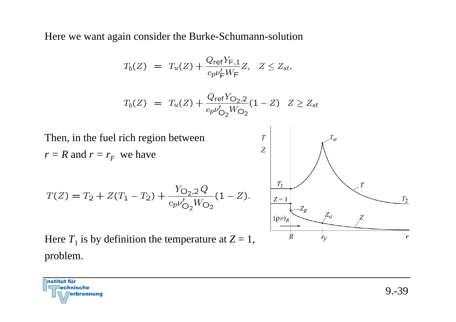Here we want again consider the Burke-Schumann-solution

$$
T_b(Z) = T_u(Z) + \frac{Q_{\text{ref}} Y_{\text{F},1}}{c_p \nu_{\text{F}}' W_{\text{F}}} Z, \quad Z \le Z_{st},
$$

$$
T_b(Z) = T_u(Z) + \frac{Q_{\text{ref}} Y_{\text{O}_2,2}}{c_p v'_{\text{O}_2} W_{\text{O}_2}} (1 - Z) \quad Z \ge Z_{st}
$$



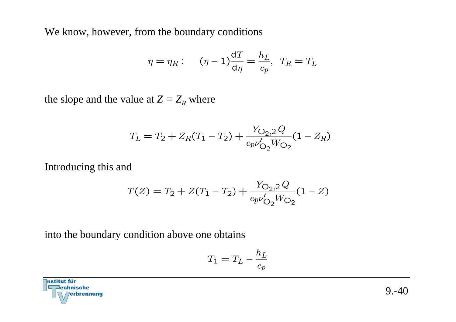We know, however, from the boundary conditions

$$
\eta = \eta_R: \qquad (\eta - 1)\frac{\mathrm{d}T}{\mathrm{d}\eta} = \frac{h_L}{c_p}, \quad T_R = T_L
$$

the slope and the value at  $Z=Z_R$  where

$$
T_L = T_2 + Z_R(T_1 - T_2) + \frac{Y_{O_2,2}Q}{c_p \nu'_{O_2} W_{O_2}} (1 - Z_R)
$$

Introducing this and

$$
T(Z) = T_2 + Z(T_1 - T_2) + \frac{Y_{\text{O}_2,2}Q}{c_p \nu'_{\text{O}_2}W_{\text{O}_2}}(1 - Z)
$$

into the boundary condition above one obtains

$$
T_1 = T_L - \frac{h_L}{c_p}
$$

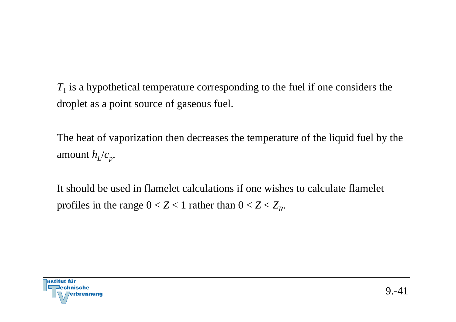$T_{1}$  is a hypothetical temperature corresponding to the fuel if one considers the droplet as a point source of gaseous fuel.

The heat of vaporization then decreases the temperature of the liquid fuel by the amount  $h_l/c_p$ .

It should be used in flamelet calculations if one wishes to calculate flameletprofiles in the range  $0 < Z < 1$  rather than  $0 < Z < Z_R$ .

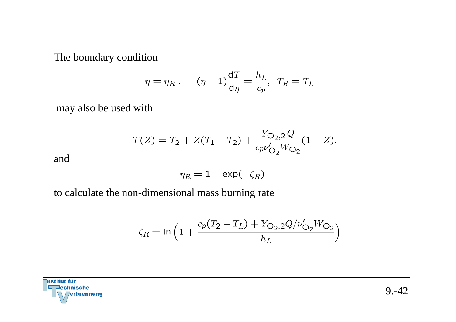The boundary condition

$$
\eta = \eta_R: \qquad (\eta - 1)\frac{\mathrm{d}T}{\mathrm{d}\eta} = \frac{h_L}{c_p}, \quad T_R = T_L
$$

may also be used with

$$
T(Z) = T_2 + Z(T_1 - T_2) + \frac{Y_{O_2,2}Q}{c_p\nu'_{O_2}W_{O_2}}(1 - Z).
$$

and

$$
\eta_R = 1 - \exp(-\zeta_R)
$$

to calculate the non-dimensional mass burning rate

$$
\zeta_R = \ln\left(1 + \frac{c_p(T_2 - T_L) + Y_{\text{O}_2,2}Q/\nu'_{\text{O}_2}W_{\text{O}_2}}{h_L}\right)
$$

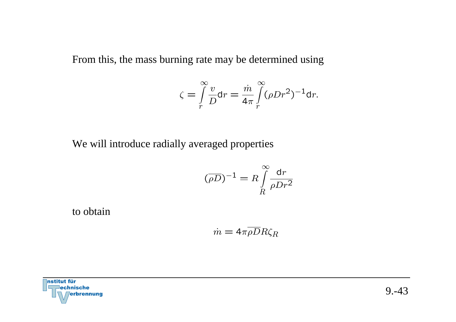From this, the mass burning rate may be determined using

$$
\zeta = \int\limits_r^\infty \frac{v}{D} dr = \frac{\dot{m}}{4\pi} \int\limits_r^\infty (\rho D r^2)^{-1} dr.
$$

We will introduce radially averaged properties

$$
(\overline{\rho D})^{-1} = R \int\limits_R^{\infty} \frac{\mathrm{d}r}{\rho D r^2}
$$

to obtain

$$
\dot{m} = 4\pi \overline{\rho D}R\zeta_R
$$

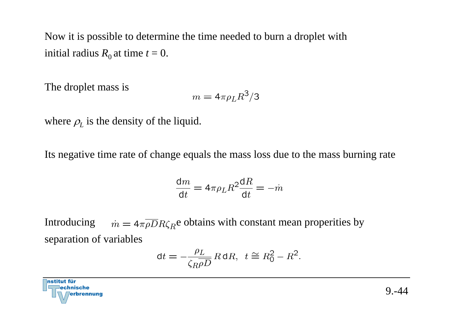Now it is possible to determine the time needed to burn a droplet with initial radius  $R_0$  at time  $t = 0$ .

The droplet mass is

$$
m=4\pi\rho_L R^3/3
$$

where  $\rho_L$  is the density of the liquid.

Its negative time rate of change equals the mass loss due to the mass burning rate

$$
\frac{\mathrm{d}m}{\mathrm{d}t} = 4\pi\rho_L R^2 \frac{\mathrm{d}R}{\mathrm{d}t} = -\dot{m}
$$

Introducing  $\dot{m} = 4\pi \overline{\rho} \overline{D} R \zeta_R e$  obtains with constant mean properities by separation of variables

$$
dt = -\frac{\rho_L}{\zeta_R \rho D} R \, dR, \ t \cong R_0^2 - R^2.
$$

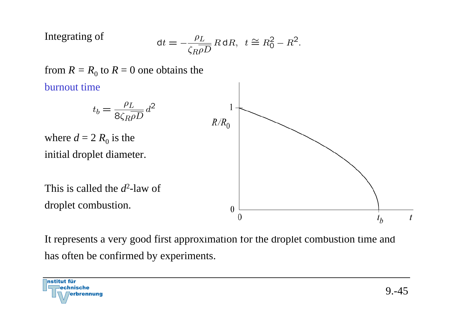Integrating of

$$
dt = -\frac{\rho_L}{\zeta_R \rho D} R \, dR, \ t \cong R_0^2 - R^2.
$$



It represents a very good first approximation for the droplet combustion time and has often be confirmed by experiments.

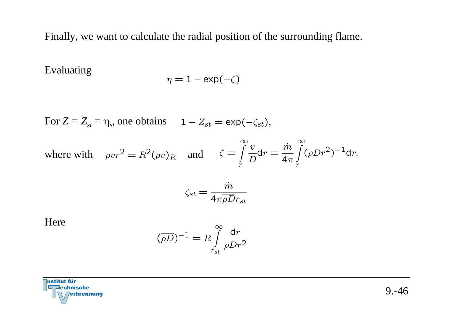Finally, we want to calculate the radial position of the surrounding flame.

Evaluating

$$
\eta = 1 - \exp(-\zeta)
$$

For 
$$
Z = Z_{st} = \eta_{st}
$$
 one obtains  $1 - Z_{st} = \exp(-\zeta_{st}),$ 

where with  $\rho v r^2 = R^2 (\rho v)_R$  and  $\zeta = \int_{\infty}^{\infty} \frac{v}{D} dr = \frac{\dot{m}}{4\pi} \int_{\infty}^{\infty} (\rho D r^2)^{-1} dr$ .

$$
\zeta_{st} = \frac{m}{4\pi\rho D r_{st}}
$$

Here

$$
(\overline{\rho D})^{-1} = R \int_{r_{st}}^{\infty} \frac{\mathrm{d}r}{\rho D r^2}
$$

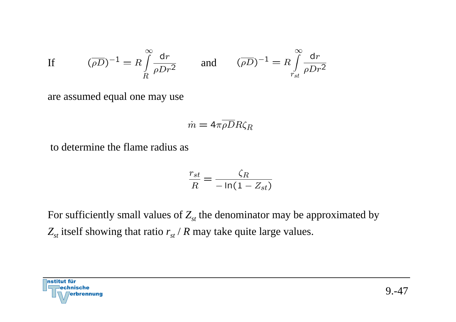If 
$$
(\overline{\rho D})^{-1} = R \int_{R}^{\infty} \frac{dr}{\rho D r^2}
$$
 and  $(\overline{\rho D})^{-1} = R \int_{r_{st}}^{\infty} \frac{dr}{\rho D r^2}$ 

are assumed equal one may use

$$
\dot{m}=4\pi\overline{\rho}\overline{D}R\zeta_R
$$

to determine the flame radius as

$$
\frac{r_{st}}{R} = \frac{\zeta_R}{-\ln(1 - Z_{st})}
$$

For sufficiently small values of  $Z_{st}$  the denominator may be approximated by  $Z_{st}$  itself showing that ratio  $r_{st}$  /  $R$  may take quite large values.

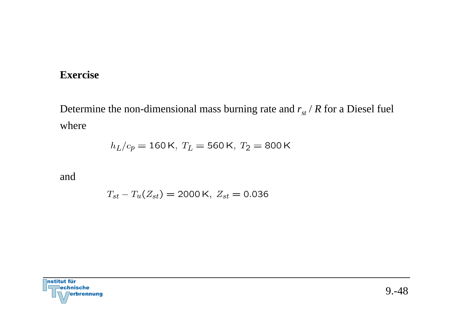#### **Exercise**

Determine the non-dimensional mass burning rate and  $r_{st}$  / R for a Diesel fuel where

$$
h_L/c_p = 160 \,\text{K}, \ T_L = 560 \,\text{K}, \ T_2 = 800 \,\text{K}
$$

and

$$
T_{st} - T_u(Z_{st}) = 2000 \,\text{K}, \ Z_{st} = 0.036
$$

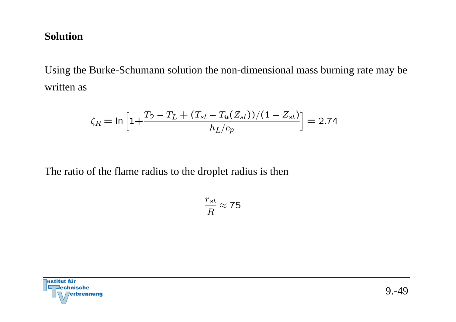### **Solution**

Using the Burke-Schumann solution the non-dimensional mass burning rate may be written as

$$
\zeta_R = \ln\left[1 + \frac{T_2 - T_L + (T_{st} - T_u(Z_{st}))/(1 - Z_{st})}{h_L/c_p}\right] = 2.74
$$

The ratio of the flame radius to the droplet radius is then

$$
\frac{r_{st}}{R}\approx 75
$$

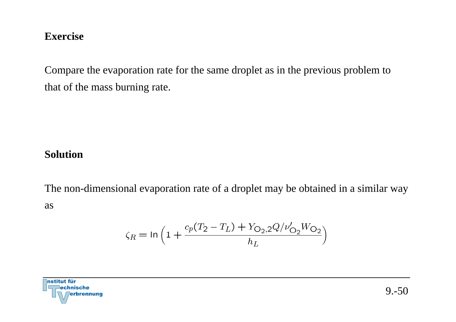#### **Exercise**

Compare the evaporation rate for the same droplet as in the previous problem to that of the mass burning rate.

### **Solution**

The non-dimensional evaporation rate of a droplet may be obtained in a similar way as

$$
\zeta_R = \ln \Big( 1 + \frac{c_p (T_2 - T_L) + Y_{\text{O}_2,2} Q/\nu_{\text{O}_2}' W_{\text{O}_2}}{h_L} \Big)
$$